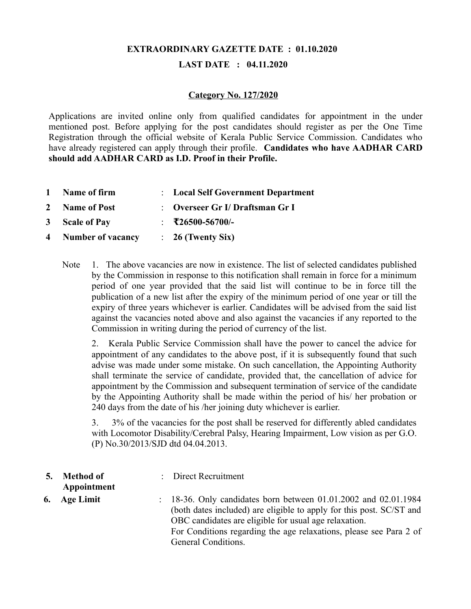# **EXTRAORDINARY GAZETTE DATE : 01.10.2020**

## **LAST DATE : 04.11.2020**

#### **Category No. 127/2020**

Applications are invited online only from qualified candidates for appointment in the under mentioned post. Before applying for the post candidates should register as per the One Time Registration through the official website of Kerala Public Service Commission. Candidates who have already registered can apply through their profile. **Candidates who have AADHAR CARD should add AADHAR CARD as I.D. Proof in their Profile.**

- **1 Name of firm** : **Local Self Government Department**
- **2 Name of Post** : **Overseer Gr I/ Draftsman Gr I**
- **3 Scale of Pay** : **₹26500-56700/-**
- **4 Number of vacancy** : **26 (Twenty Six)**
	- Note 1. The above vacancies are now in existence. The list of selected candidates published by the Commission in response to this notification shall remain in force for a minimum period of one year provided that the said list will continue to be in force till the publication of a new list after the expiry of the minimum period of one year or till the expiry of three years whichever is earlier. Candidates will be advised from the said list against the vacancies noted above and also against the vacancies if any reported to the Commission in writing during the period of currency of the list.

2. Kerala Public Service Commission shall have the power to cancel the advice for appointment of any candidates to the above post, if it is subsequently found that such advise was made under some mistake. On such cancellation, the Appointing Authority shall terminate the service of candidate, provided that, the cancellation of advice for appointment by the Commission and subsequent termination of service of the candidate by the Appointing Authority shall be made within the period of his/ her probation or 240 days from the date of his /her joining duty whichever is earlier.

3. 3% of the vacancies for the post shall be reserved for differently abled candidates with Locomotor Disability/Cerebral Palsy, Hearing Impairment, Low vision as per G.O. (P) No.30/2013/SJD dtd 04.04.2013.

| 5. | <b>Method of</b><br>Appointment | : Direct Recruitment                                                                                                                                                                                                                                                                                     |
|----|---------------------------------|----------------------------------------------------------------------------------------------------------------------------------------------------------------------------------------------------------------------------------------------------------------------------------------------------------|
| 6. | <b>Age Limit</b>                | $\therefore$ 18-36. Only candidates born between 01.01.2002 and 02.01.1984<br>(both dates included) are eligible to apply for this post. SC/ST and<br>OBC candidates are eligible for usual age relaxation.<br>For Conditions regarding the age relaxations, please see Para 2 of<br>General Conditions. |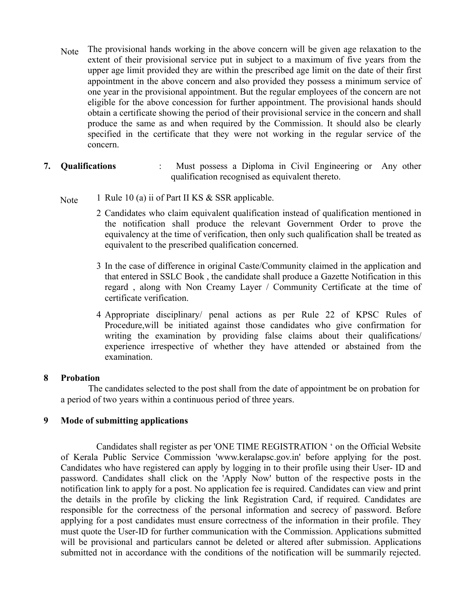- Note The provisional hands working in the above concern will be given age relaxation to the extent of their provisional service put in subject to a maximum of five years from the upper age limit provided they are within the prescribed age limit on the date of their first appointment in the above concern and also provided they possess a minimum service of one year in the provisional appointment. But the regular employees of the concern are not eligible for the above concession for further appointment. The provisional hands should obtain a certificate showing the period of their provisional service in the concern and shall produce the same as and when required by the Commission. It should also be clearly specified in the certificate that they were not working in the regular service of the concern.
- **7. Qualifications** : Must possess a Diploma in Civil Engineering or Any other qualification recognised as equivalent thereto.
	- Note 1 Rule 10 (a) ii of Part II KS  $&$  SSR applicable.
		- 2 Candidates who claim equivalent qualification instead of qualification mentioned in the notification shall produce the relevant Government Order to prove the equivalency at the time of verification, then only such qualification shall be treated as equivalent to the prescribed qualification concerned.
		- 3 In the case of difference in original Caste/Community claimed in the application and that entered in SSLC Book , the candidate shall produce a Gazette Notification in this regard , along with Non Creamy Layer / Community Certificate at the time of certificate verification.
		- 4 Appropriate disciplinary/ penal actions as per Rule 22 of KPSC Rules of Procedure,will be initiated against those candidates who give confirmation for writing the examination by providing false claims about their qualifications/ experience irrespective of whether they have attended or abstained from the examination.

#### **8 Probation**

 The candidates selected to the post shall from the date of appointment be on probation for a period of two years within a continuous period of three years.

#### **9 Mode of submitting applications**

 Candidates shall register as per 'ONE TIME REGISTRATION ' on the Official Website of Kerala Public Service Commission 'www.keralapsc.gov.in' before applying for the post. Candidates who have registered can apply by logging in to their profile using their User- ID and password. Candidates shall click on the 'Apply Now' button of the respective posts in the notification link to apply for a post. No application fee is required. Candidates can view and print the details in the profile by clicking the link Registration Card, if required. Candidates are responsible for the correctness of the personal information and secrecy of password. Before applying for a post candidates must ensure correctness of the information in their profile. They must quote the User-ID for further communication with the Commission. Applications submitted will be provisional and particulars cannot be deleted or altered after submission. Applications submitted not in accordance with the conditions of the notification will be summarily rejected.